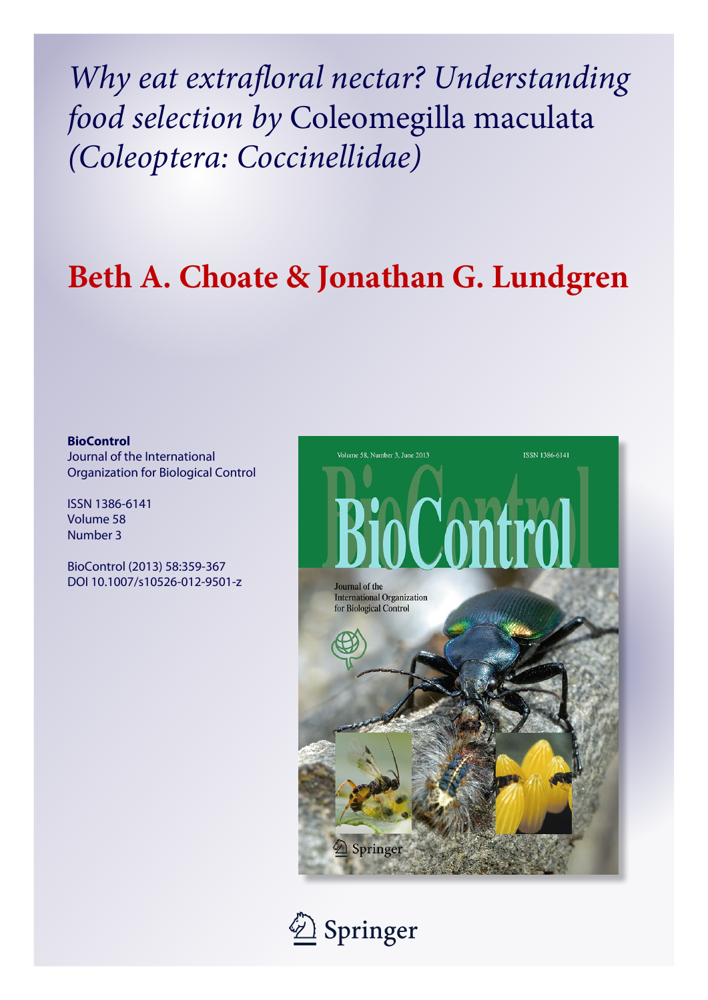*Why eat extrafloral nectar? Understanding food selection by* Coleomegilla maculata *(Coleoptera: Coccinellidae)*

# **Beth A. Choate & Jonathan G. Lundgren**

# **BioControl**

Journal of the International Organization for Biological Control

ISSN 1386-6141 Volume 58 Number 3

BioControl (2013) 58:359-367 DOI 10.1007/s10526-012-9501-z



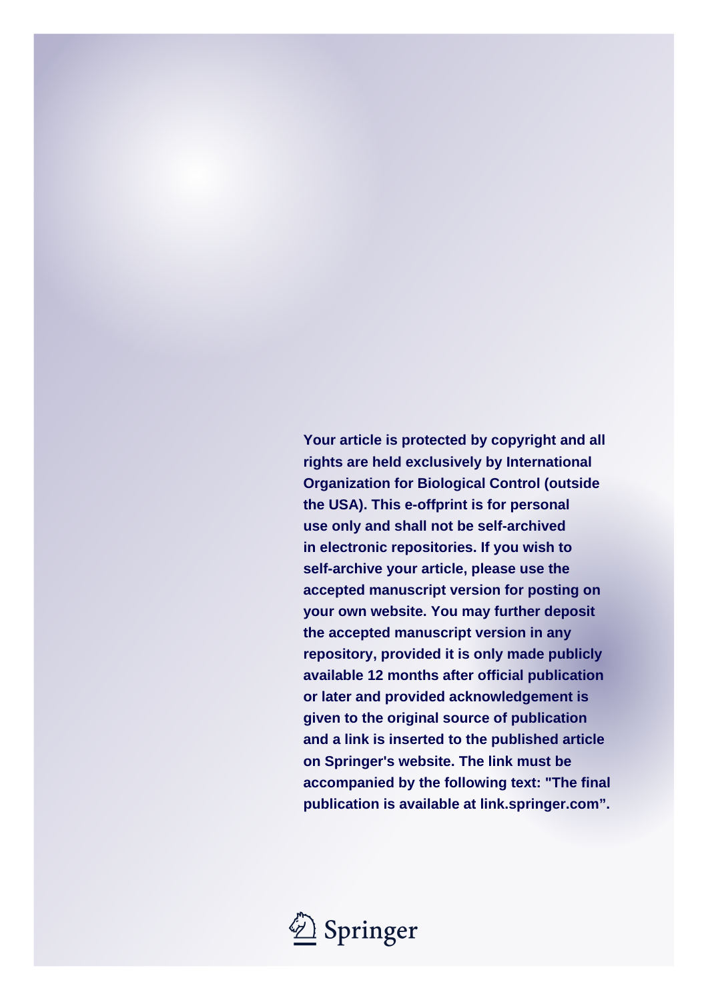**Your article is protected by copyright and all rights are held exclusively by International Organization for Biological Control (outside the USA). This e-offprint is for personal use only and shall not be self-archived in electronic repositories. If you wish to self-archive your article, please use the accepted manuscript version for posting on your own website. You may further deposit the accepted manuscript version in any repository, provided it is only made publicly available 12 months after official publication or later and provided acknowledgement is given to the original source of publication and a link is inserted to the published article on Springer's website. The link must be accompanied by the following text: "The final publication is available at link.springer.com".**

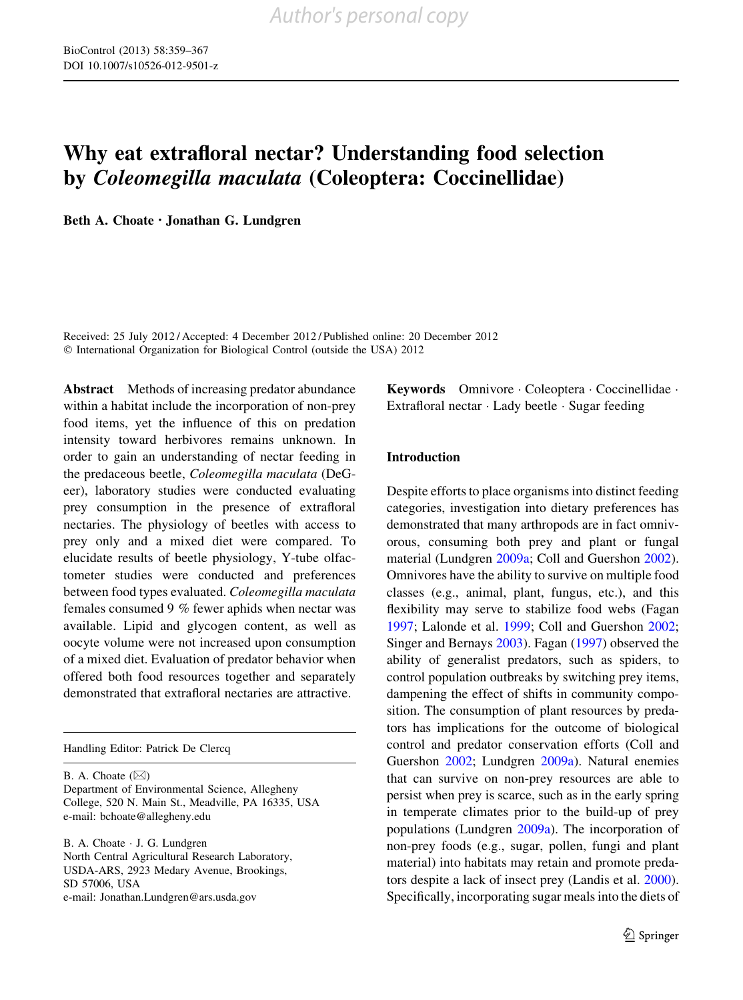# Why eat extrafloral nectar? Understanding food selection by Coleomegilla maculata (Coleoptera: Coccinellidae)

Beth A. Choate • Jonathan G. Lundgren

Received: 25 July 2012 / Accepted: 4 December 2012 / Published online: 20 December 2012 © International Organization for Biological Control (outside the USA) 2012

Abstract Methods of increasing predator abundance within a habitat include the incorporation of non-prey food items, yet the influence of this on predation intensity toward herbivores remains unknown. In order to gain an understanding of nectar feeding in the predaceous beetle, Coleomegilla maculata (DeGeer), laboratory studies were conducted evaluating prey consumption in the presence of extrafloral nectaries. The physiology of beetles with access to prey only and a mixed diet were compared. To elucidate results of beetle physiology, Y-tube olfactometer studies were conducted and preferences between food types evaluated. Coleomegilla maculata females consumed 9 % fewer aphids when nectar was available. Lipid and glycogen content, as well as oocyte volume were not increased upon consumption of a mixed diet. Evaluation of predator behavior when offered both food resources together and separately demonstrated that extrafloral nectaries are attractive.

Handling Editor: Patrick De Clercq

B. A. Choate  $(\boxtimes)$ 

Department of Environmental Science, Allegheny College, 520 N. Main St., Meadville, PA 16335, USA e-mail: bchoate@allegheny.edu

B. A. Choate - J. G. Lundgren North Central Agricultural Research Laboratory, USDA-ARS, 2923 Medary Avenue, Brookings, SD 57006, USA e-mail: Jonathan.Lundgren@ars.usda.gov

Keywords Omnivore - Coleoptera - Coccinellidae - Extrafloral nectar - Lady beetle - Sugar feeding

# Introduction

Despite efforts to place organisms into distinct feeding categories, investigation into dietary preferences has demonstrated that many arthropods are in fact omnivorous, consuming both prey and plant or fungal material (Lundgren [2009a](#page-9-0); Coll and Guershon [2002](#page-8-0)). Omnivores have the ability to survive on multiple food classes (e.g., animal, plant, fungus, etc.), and this flexibility may serve to stabilize food webs (Fagan [1997;](#page-9-0) Lalonde et al. [1999;](#page-9-0) Coll and Guershon [2002](#page-8-0); Singer and Bernays [2003](#page-9-0)). Fagan ([1997\)](#page-9-0) observed the ability of generalist predators, such as spiders, to control population outbreaks by switching prey items, dampening the effect of shifts in community composition. The consumption of plant resources by predators has implications for the outcome of biological control and predator conservation efforts (Coll and Guershon [2002;](#page-8-0) Lundgren [2009a\)](#page-9-0). Natural enemies that can survive on non-prey resources are able to persist when prey is scarce, such as in the early spring in temperate climates prior to the build-up of prey populations (Lundgren [2009a\)](#page-9-0). The incorporation of non-prey foods (e.g., sugar, pollen, fungi and plant material) into habitats may retain and promote predators despite a lack of insect prey (Landis et al. [2000](#page-9-0)). Specifically, incorporating sugar meals into the diets of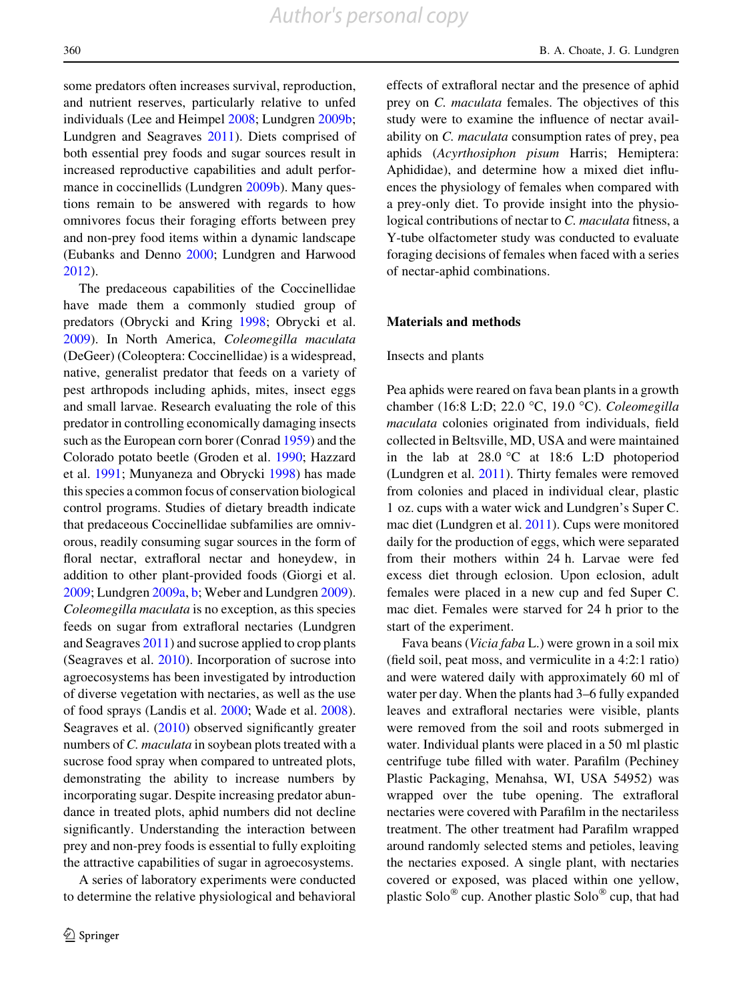some predators often increases survival, reproduction, and nutrient reserves, particularly relative to unfed individuals (Lee and Heimpel [2008](#page-9-0); Lundgren [2009b](#page-9-0); Lundgren and Seagraves [2011\)](#page-9-0). Diets comprised of both essential prey foods and sugar sources result in increased reproductive capabilities and adult performance in coccinellids (Lundgren [2009b](#page-9-0)). Many questions remain to be answered with regards to how omnivores focus their foraging efforts between prey and non-prey food items within a dynamic landscape (Eubanks and Denno [2000](#page-8-0); Lundgren and Harwood [2012\)](#page-9-0).

The predaceous capabilities of the Coccinellidae have made them a commonly studied group of predators (Obrycki and Kring [1998;](#page-9-0) Obrycki et al. [2009\)](#page-9-0). In North America, Coleomegilla maculata (DeGeer) (Coleoptera: Coccinellidae) is a widespread, native, generalist predator that feeds on a variety of pest arthropods including aphids, mites, insect eggs and small larvae. Research evaluating the role of this predator in controlling economically damaging insects such as the European corn borer (Conrad [1959](#page-8-0)) and the Colorado potato beetle (Groden et al. [1990;](#page-9-0) Hazzard et al. [1991;](#page-9-0) Munyaneza and Obrycki [1998\)](#page-9-0) has made this species a common focus of conservation biological control programs. Studies of dietary breadth indicate that predaceous Coccinellidae subfamilies are omnivorous, readily consuming sugar sources in the form of floral nectar, extrafloral nectar and honeydew, in addition to other plant-provided foods (Giorgi et al. [2009;](#page-9-0) Lundgren [2009a,](#page-9-0) [b;](#page-9-0) Weber and Lundgren [2009](#page-9-0)). Coleomegilla maculata is no exception, as this species feeds on sugar from extrafloral nectaries (Lundgren and Seagraves [2011](#page-9-0)) and sucrose applied to crop plants (Seagraves et al. [2010](#page-9-0)). Incorporation of sucrose into agroecosystems has been investigated by introduction of diverse vegetation with nectaries, as well as the use of food sprays (Landis et al. [2000](#page-9-0); Wade et al. [2008](#page-9-0)). Seagraves et al. ([2010\)](#page-9-0) observed significantly greater numbers of C. *maculata* in soybean plots treated with a sucrose food spray when compared to untreated plots, demonstrating the ability to increase numbers by incorporating sugar. Despite increasing predator abundance in treated plots, aphid numbers did not decline significantly. Understanding the interaction between prey and non-prey foods is essential to fully exploiting the attractive capabilities of sugar in agroecosystems.

A series of laboratory experiments were conducted to determine the relative physiological and behavioral

360 B. A. Choate, J. G. Lundgren

effects of extrafloral nectar and the presence of aphid prey on C. maculata females. The objectives of this study were to examine the influence of nectar availability on C. maculata consumption rates of prey, pea aphids (Acyrthosiphon pisum Harris; Hemiptera: Aphididae), and determine how a mixed diet influences the physiology of females when compared with a prey-only diet. To provide insight into the physiological contributions of nectar to C. maculata fitness, a Y-tube olfactometer study was conducted to evaluate foraging decisions of females when faced with a series of nectar-aphid combinations.

#### Materials and methods

#### Insects and plants

Pea aphids were reared on fava bean plants in a growth chamber (16:8 L:D; 22.0 °C, 19.0 °C). Coleomegilla maculata colonies originated from individuals, field collected in Beltsville, MD, USA and were maintained in the lab at  $28.0$  °C at 18:6 L:D photoperiod (Lundgren et al. [2011\)](#page-9-0). Thirty females were removed from colonies and placed in individual clear, plastic 1 oz. cups with a water wick and Lundgren's Super C. mac diet (Lundgren et al. [2011\)](#page-9-0). Cups were monitored daily for the production of eggs, which were separated from their mothers within 24 h. Larvae were fed excess diet through eclosion. Upon eclosion, adult females were placed in a new cup and fed Super C. mac diet. Females were starved for 24 h prior to the start of the experiment.

Fava beans (Vicia faba L.) were grown in a soil mix (field soil, peat moss, and vermiculite in a 4:2:1 ratio) and were watered daily with approximately 60 ml of water per day. When the plants had 3–6 fully expanded leaves and extrafloral nectaries were visible, plants were removed from the soil and roots submerged in water. Individual plants were placed in a 50 ml plastic centrifuge tube filled with water. Parafilm (Pechiney Plastic Packaging, Menahsa, WI, USA 54952) was wrapped over the tube opening. The extrafloral nectaries were covered with Parafilm in the nectariless treatment. The other treatment had Parafilm wrapped around randomly selected stems and petioles, leaving the nectaries exposed. A single plant, with nectaries covered or exposed, was placed within one yellow, plastic Solo<sup>®</sup> cup. Another plastic Solo<sup>®</sup> cup, that had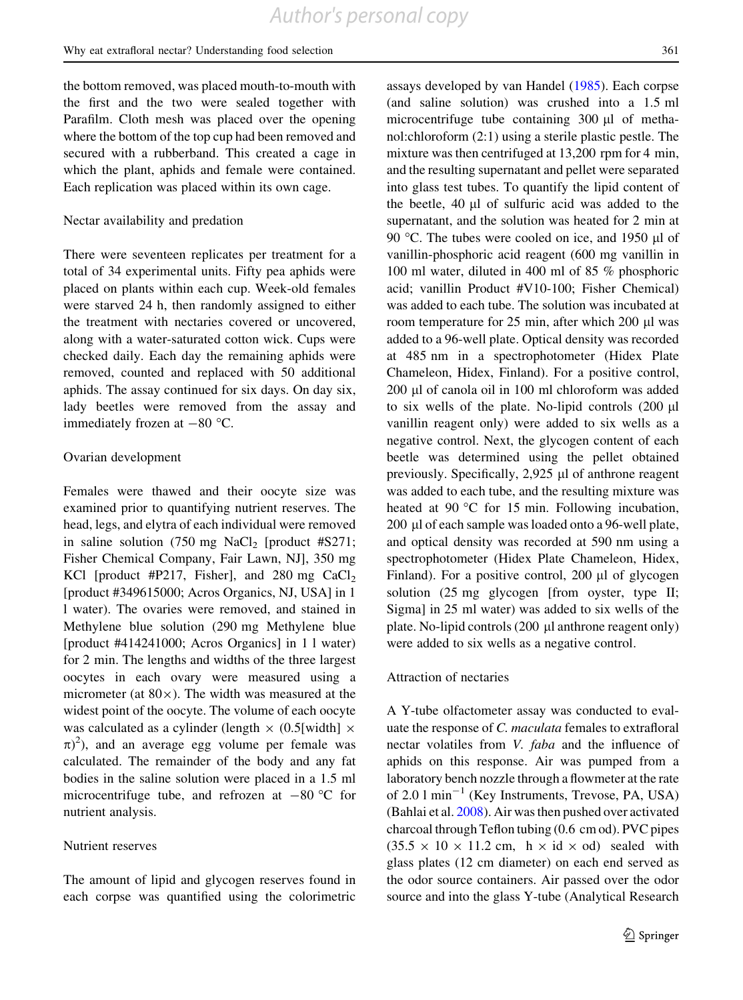the bottom removed, was placed mouth-to-mouth with the first and the two were sealed together with Parafilm. Cloth mesh was placed over the opening where the bottom of the top cup had been removed and secured with a rubberband. This created a cage in which the plant, aphids and female were contained. Each replication was placed within its own cage.

### Nectar availability and predation

There were seventeen replicates per treatment for a total of 34 experimental units. Fifty pea aphids were placed on plants within each cup. Week-old females were starved 24 h, then randomly assigned to either the treatment with nectaries covered or uncovered, along with a water-saturated cotton wick. Cups were checked daily. Each day the remaining aphids were removed, counted and replaced with 50 additional aphids. The assay continued for six days. On day six, lady beetles were removed from the assay and immediately frozen at  $-80$  °C.

#### Ovarian development

Females were thawed and their oocyte size was examined prior to quantifying nutrient reserves. The head, legs, and elytra of each individual were removed in saline solution  $(750 \text{ mg NaCl}_2)$  [product #S271; Fisher Chemical Company, Fair Lawn, NJ], 350 mg KCl [product #P217, Fisher], and 280 mg  $CaCl<sub>2</sub>$ [product #349615000; Acros Organics, NJ, USA] in 1 l water). The ovaries were removed, and stained in Methylene blue solution (290 mg Methylene blue [product #414241000; Acros Organics] in 1 l water) for 2 min. The lengths and widths of the three largest oocytes in each ovary were measured using a micrometer (at  $80 \times$ ). The width was measured at the widest point of the oocyte. The volume of each oocyte was calculated as a cylinder (length  $\times$  (0.5[width]  $\times$  $(\pi)^2$ ), and an average egg volume per female was calculated. The remainder of the body and any fat bodies in the saline solution were placed in a 1.5 ml microcentrifuge tube, and refrozen at  $-80$  °C for nutrient analysis.

# Nutrient reserves

The amount of lipid and glycogen reserves found in each corpse was quantified using the colorimetric assays developed by van Handel ([1985\)](#page-9-0). Each corpse (and saline solution) was crushed into a 1.5 ml microcentrifuge tube containing  $300 \mu l$  of methanol:chloroform (2:1) using a sterile plastic pestle. The mixture was then centrifuged at 13,200 rpm for 4 min, and the resulting supernatant and pellet were separated into glass test tubes. To quantify the lipid content of the beetle,  $40 \mu l$  of sulfuric acid was added to the supernatant, and the solution was heated for 2 min at 90 °C. The tubes were cooled on ice, and 1950  $\mu$ l of vanillin-phosphoric acid reagent (600 mg vanillin in 100 ml water, diluted in 400 ml of 85 % phosphoric acid; vanillin Product #V10-100; Fisher Chemical) was added to each tube. The solution was incubated at room temperature for  $25 \text{ min}$ , after which  $200 \text{ µl}$  was added to a 96-well plate. Optical density was recorded at 485 nm in a spectrophotometer (Hidex Plate Chameleon, Hidex, Finland). For a positive control, 200 µl of canola oil in 100 ml chloroform was added to six wells of the plate. No-lipid controls  $(200 \mu l)$ vanillin reagent only) were added to six wells as a negative control. Next, the glycogen content of each beetle was determined using the pellet obtained previously. Specifically,  $2,925$   $\mu$ l of anthrone reagent was added to each tube, and the resulting mixture was heated at 90 $\degree$ C for 15 min. Following incubation, 200 µl of each sample was loaded onto a 96-well plate, and optical density was recorded at 590 nm using a spectrophotometer (Hidex Plate Chameleon, Hidex, Finland). For a positive control, 200  $\mu$ l of glycogen solution (25 mg glycogen [from oyster, type II; Sigma] in 25 ml water) was added to six wells of the plate. No-lipid controls  $(200 \mu l)$  anthrone reagent only) were added to six wells as a negative control.

#### Attraction of nectaries

A Y-tube olfactometer assay was conducted to evaluate the response of C. maculata females to extrafloral nectar volatiles from V. faba and the influence of aphids on this response. Air was pumped from a laboratory bench nozzle through a flowmeter at the rate of  $2.01 \text{ min}^{-1}$  (Key Instruments, Trevose, PA, USA) (Bahlai et al. [2008](#page-8-0)). Air was then pushed over activated charcoal through Teflon tubing (0.6 cm od). PVC pipes  $(35.5 \times 10 \times 11.2 \text{ cm}, \text{ h} \times \text{id} \times \text{od})$  sealed with glass plates (12 cm diameter) on each end served as the odor source containers. Air passed over the odor source and into the glass Y-tube (Analytical Research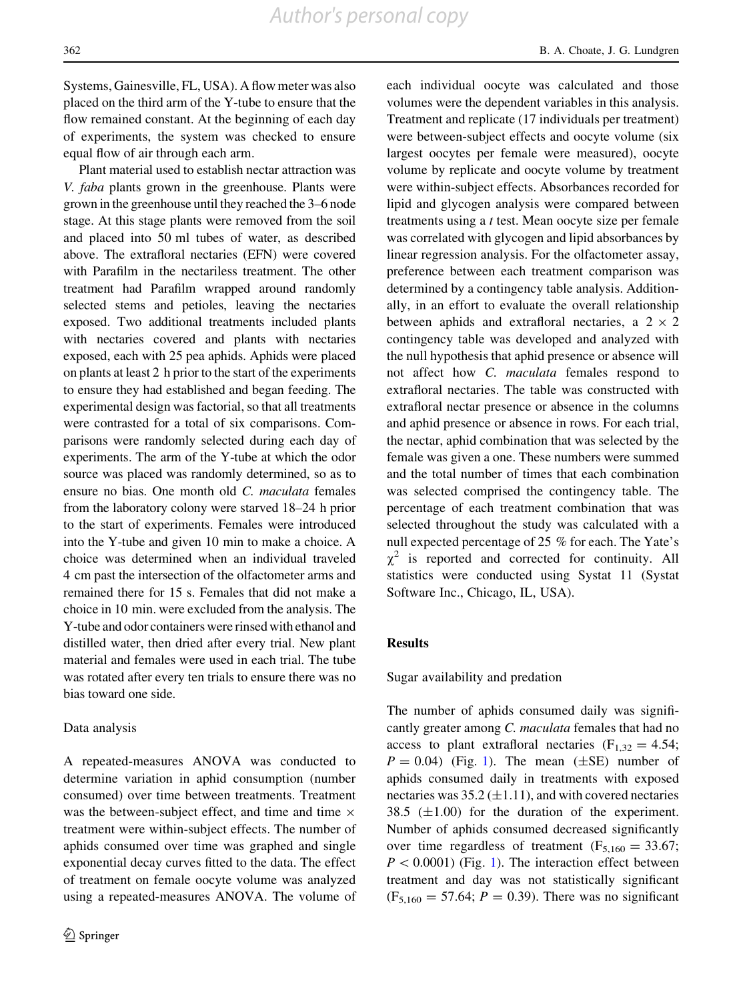Systems, Gainesville, FL, USA). A flow meter was also placed on the third arm of the Y-tube to ensure that the flow remained constant. At the beginning of each day of experiments, the system was checked to ensure equal flow of air through each arm.

Plant material used to establish nectar attraction was V. faba plants grown in the greenhouse. Plants were grown in the greenhouse until they reached the 3–6 node stage. At this stage plants were removed from the soil and placed into 50 ml tubes of water, as described above. The extrafloral nectaries (EFN) were covered with Parafilm in the nectariless treatment. The other treatment had Parafilm wrapped around randomly selected stems and petioles, leaving the nectaries exposed. Two additional treatments included plants with nectaries covered and plants with nectaries exposed, each with 25 pea aphids. Aphids were placed on plants at least 2 h prior to the start of the experiments to ensure they had established and began feeding. The experimental design was factorial, so that all treatments were contrasted for a total of six comparisons. Comparisons were randomly selected during each day of experiments. The arm of the Y-tube at which the odor source was placed was randomly determined, so as to ensure no bias. One month old C. maculata females from the laboratory colony were starved 18–24 h prior to the start of experiments. Females were introduced into the Y-tube and given 10 min to make a choice. A choice was determined when an individual traveled 4 cm past the intersection of the olfactometer arms and remained there for 15 s. Females that did not make a choice in 10 min. were excluded from the analysis. The Y-tube and odor containers were rinsed with ethanol and distilled water, then dried after every trial. New plant material and females were used in each trial. The tube was rotated after every ten trials to ensure there was no bias toward one side.

#### Data analysis

A repeated-measures ANOVA was conducted to determine variation in aphid consumption (number consumed) over time between treatments. Treatment was the between-subject effect, and time and time  $\times$ treatment were within-subject effects. The number of aphids consumed over time was graphed and single exponential decay curves fitted to the data. The effect of treatment on female oocyte volume was analyzed using a repeated-measures ANOVA. The volume of each individual oocyte was calculated and those volumes were the dependent variables in this analysis. Treatment and replicate (17 individuals per treatment) were between-subject effects and oocyte volume (six largest oocytes per female were measured), oocyte volume by replicate and oocyte volume by treatment were within-subject effects. Absorbances recorded for lipid and glycogen analysis were compared between treatments using a t test. Mean oocyte size per female was correlated with glycogen and lipid absorbances by linear regression analysis. For the olfactometer assay, preference between each treatment comparison was determined by a contingency table analysis. Additionally, in an effort to evaluate the overall relationship between aphids and extrafloral nectaries, a  $2 \times 2$ contingency table was developed and analyzed with the null hypothesis that aphid presence or absence will not affect how C. maculata females respond to extrafloral nectaries. The table was constructed with extrafloral nectar presence or absence in the columns and aphid presence or absence in rows. For each trial, the nectar, aphid combination that was selected by the female was given a one. These numbers were summed and the total number of times that each combination was selected comprised the contingency table. The percentage of each treatment combination that was selected throughout the study was calculated with a null expected percentage of 25 % for each. The Yate's  $\chi^2$  is reported and corrected for continuity. All statistics were conducted using Systat 11 (Systat Software Inc., Chicago, IL, USA).

#### Results

Sugar availability and predation

The number of aphids consumed daily was significantly greater among C. maculata females that had no access to plant extrafloral nectaries  $(F<sub>1,32</sub> = 4.54;$  $P = 0.04$ ) (Fig. [1\)](#page-6-0). The mean ( $\pm$ SE) number of aphids consumed daily in treatments with exposed nectaries was  $35.2 \,(\pm 1.11)$ , and with covered nectaries 38.5 ( $\pm$ 1.00) for the duration of the experiment. Number of aphids consumed decreased significantly over time regardless of treatment  $(F_{5,160} = 33.67;$  $P < 0.0001$ ) (Fig. [1\)](#page-6-0). The interaction effect between treatment and day was not statistically significant  $(F_{5,160} = 57.64; P = 0.39)$ . There was no significant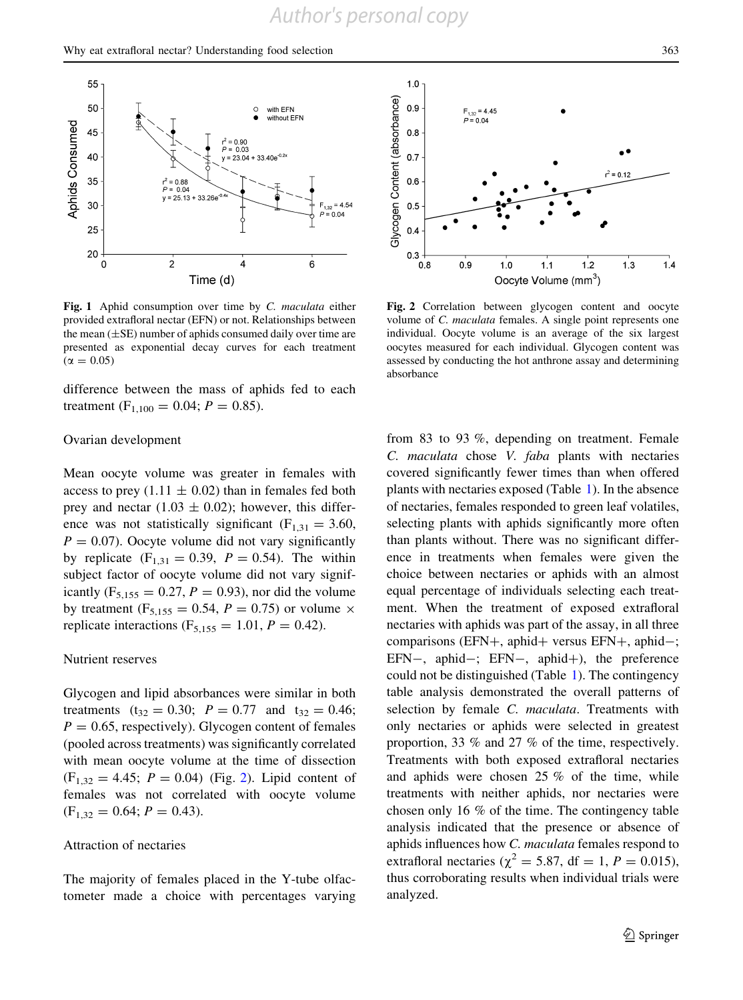<span id="page-6-0"></span>

Fig. 1 Aphid consumption over time by C. maculata either provided extrafloral nectar (EFN) or not. Relationships between the mean  $(\pm SE)$  number of aphids consumed daily over time are presented as exponential decay curves for each treatment  $(\alpha = 0.05)$ 

difference between the mass of aphids fed to each treatment ( $F_{1,100} = 0.04$ ;  $P = 0.85$ ).

#### Ovarian development

Mean oocyte volume was greater in females with access to prey (1.11  $\pm$  0.02) than in females fed both prey and nectar  $(1.03 \pm 0.02)$ ; however, this difference was not statistically significant ( $F_{1,31} = 3.60$ ,  $P = 0.07$ ). Oocyte volume did not vary significantly by replicate  $(F_{1,31} = 0.39, P = 0.54)$ . The within subject factor of oocyte volume did not vary significantly ( $F_{5,155} = 0.27, P = 0.93$ ), nor did the volume by treatment ( $F_{5,155} = 0.54$ ,  $P = 0.75$ ) or volume  $\times$ replicate interactions ( $F_{5,155} = 1.01, P = 0.42$ ).

#### Nutrient reserves

Glycogen and lipid absorbances were similar in both treatments ( $t_{32} = 0.30$ ;  $P = 0.77$  and  $t_{32} = 0.46$ ;  $P = 0.65$ , respectively). Glycogen content of females (pooled across treatments) was significantly correlated with mean oocyte volume at the time of dissection  $(F_{1,32} = 4.45; P = 0.04)$  (Fig. 2). Lipid content of females was not correlated with oocyte volume  $(F<sub>1,32</sub> = 0.64; P = 0.43).$ 

### Attraction of nectaries

The majority of females placed in the Y-tube olfactometer made a choice with percentages varying



Fig. 2 Correlation between glycogen content and oocyte volume of C. maculata females. A single point represents one individual. Oocyte volume is an average of the six largest oocytes measured for each individual. Glycogen content was assessed by conducting the hot anthrone assay and determining absorbance

from 83 to 93 %, depending on treatment. Female C. maculata chose V. faba plants with nectaries covered significantly fewer times than when offered plants with nectaries exposed (Table [1](#page-7-0)). In the absence of nectaries, females responded to green leaf volatiles, selecting plants with aphids significantly more often than plants without. There was no significant difference in treatments when females were given the choice between nectaries or aphids with an almost equal percentage of individuals selecting each treatment. When the treatment of exposed extrafloral nectaries with aphids was part of the assay, in all three comparisons (EFN+, aphid+ versus EFN+, aphid-; EFN-, aphid-; EFN-, aphid+), the preference could not be distinguished (Table [1\)](#page-7-0). The contingency table analysis demonstrated the overall patterns of selection by female *C. maculata*. Treatments with only nectaries or aphids were selected in greatest proportion, 33 % and 27 % of the time, respectively. Treatments with both exposed extrafloral nectaries and aphids were chosen 25 % of the time, while treatments with neither aphids, nor nectaries were chosen only 16 % of the time. The contingency table analysis indicated that the presence or absence of aphids influences how C. maculata females respond to extrafloral nectaries ( $\chi^2$  = 5.87, df = 1, P = 0.015), thus corroborating results when individual trials were analyzed.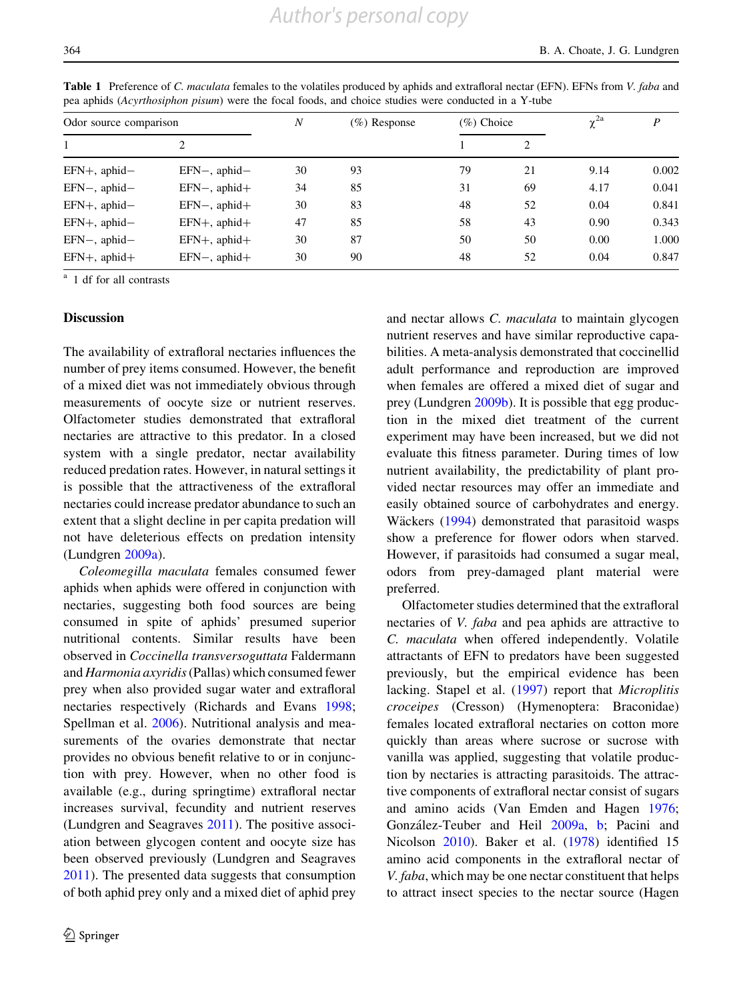| Odor source comparison |                    | $\boldsymbol{N}$ | $(\%)$ Response | $(\%)$ Choice |    | $\gamma^{2a}$ | P     |
|------------------------|--------------------|------------------|-----------------|---------------|----|---------------|-------|
|                        |                    |                  |                 |               |    |               |       |
| $EFN+$ , aphid-        | $EFN-,$ aphid-     | 30               | 93              | 79            | 21 | 9.14          | 0.002 |
| $EFN-,$ aphid-         | $EFN-,$ aphid $+$  | 34               | 85              | 31            | 69 | 4.17          | 0.041 |
| $EFN+$ , aphid-        | $EFN-,$ aphid+     | 30               | 83              | 48            | 52 | 0.04          | 0.841 |
| EFN+, aphid-           | $EFN+$ , aphid $+$ | 47               | 85              | 58            | 43 | 0.90          | 0.343 |
| $EFN-,$ aphid-         | $EFN+$ , aphid $+$ | 30               | 87              | 50            | 50 | 0.00          | 1.000 |
| $EFN+$ , aphid $+$     | $EFN-$ , aphid $+$ | 30               | 90              | 48            | 52 | 0.04          | 0.847 |

<span id="page-7-0"></span>Table 1 Preference of C. maculata females to the volatiles produced by aphids and extrafloral nectar (EFN). EFNs from V. faba and pea aphids (Acyrthosiphon pisum) were the focal foods, and choice studies were conducted in a Y-tube

<sup>a</sup> 1 df for all contrasts

#### **Discussion**

The availability of extrafloral nectaries influences the number of prey items consumed. However, the benefit of a mixed diet was not immediately obvious through measurements of oocyte size or nutrient reserves. Olfactometer studies demonstrated that extrafloral nectaries are attractive to this predator. In a closed system with a single predator, nectar availability reduced predation rates. However, in natural settings it is possible that the attractiveness of the extrafloral nectaries could increase predator abundance to such an extent that a slight decline in per capita predation will not have deleterious effects on predation intensity (Lundgren [2009a](#page-9-0)).

Coleomegilla maculata females consumed fewer aphids when aphids were offered in conjunction with nectaries, suggesting both food sources are being consumed in spite of aphids' presumed superior nutritional contents. Similar results have been observed in Coccinella transversoguttata Faldermann and Harmonia axyridis(Pallas) which consumed fewer prey when also provided sugar water and extrafloral nectaries respectively (Richards and Evans [1998](#page-9-0); Spellman et al. [2006\)](#page-9-0). Nutritional analysis and measurements of the ovaries demonstrate that nectar provides no obvious benefit relative to or in conjunction with prey. However, when no other food is available (e.g., during springtime) extrafloral nectar increases survival, fecundity and nutrient reserves (Lundgren and Seagraves [2011\)](#page-9-0). The positive association between glycogen content and oocyte size has been observed previously (Lundgren and Seagraves [2011\)](#page-9-0). The presented data suggests that consumption of both aphid prey only and a mixed diet of aphid prey and nectar allows C. maculata to maintain glycogen nutrient reserves and have similar reproductive capabilities. A meta-analysis demonstrated that coccinellid adult performance and reproduction are improved when females are offered a mixed diet of sugar and prey (Lundgren [2009b](#page-9-0)). It is possible that egg production in the mixed diet treatment of the current experiment may have been increased, but we did not evaluate this fitness parameter. During times of low nutrient availability, the predictability of plant provided nectar resources may offer an immediate and easily obtained source of carbohydrates and energy. Wäckers [\(1994](#page-9-0)) demonstrated that parasitoid wasps show a preference for flower odors when starved. However, if parasitoids had consumed a sugar meal, odors from prey-damaged plant material were preferred.

Olfactometer studies determined that the extrafloral nectaries of V. faba and pea aphids are attractive to C. maculata when offered independently. Volatile attractants of EFN to predators have been suggested previously, but the empirical evidence has been lacking. Stapel et al. [\(1997](#page-9-0)) report that Microplitis croceipes (Cresson) (Hymenoptera: Braconidae) females located extrafloral nectaries on cotton more quickly than areas where sucrose or sucrose with vanilla was applied, suggesting that volatile production by nectaries is attracting parasitoids. The attractive components of extrafloral nectar consist of sugars and amino acids (Van Emden and Hagen [1976](#page-9-0); González-Teuber and Heil [2009a,](#page-9-0) [b;](#page-9-0) Pacini and Nicolson [2010](#page-9-0)). Baker et al. [\(1978](#page-8-0)) identified 15 amino acid components in the extrafloral nectar of V. faba, which may be one nectar constituent that helps to attract insect species to the nectar source (Hagen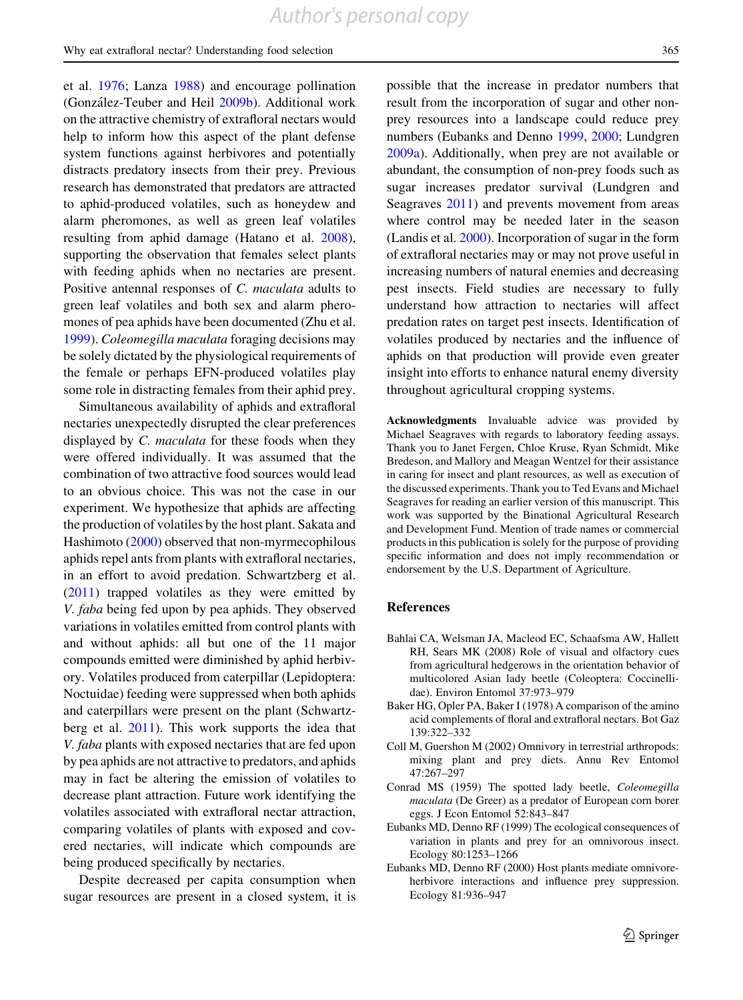<span id="page-8-0"></span>et al. [1976](#page-9-0); Lanza [1988\)](#page-9-0) and encourage pollination (González-Teuber and Heil [2009b](#page-9-0)). Additional work on the attractive chemistry of extrafloral nectars would help to inform how this aspect of the plant defense system functions against herbivores and potentially distracts predatory insects from their prey. Previous research has demonstrated that predators are attracted to aphid-produced volatiles, such as honeydew and alarm pheromones, as well as green leaf volatiles resulting from aphid damage (Hatano et al. [2008](#page-9-0)), supporting the observation that females select plants with feeding aphids when no nectaries are present. Positive antennal responses of C. maculata adults to green leaf volatiles and both sex and alarm pheromones of pea aphids have been documented (Zhu et al. [1999\)](#page-9-0). Coleomegilla maculata foraging decisions may be solely dictated by the physiological requirements of the female or perhaps EFN-produced volatiles play some role in distracting females from their aphid prey.

Simultaneous availability of aphids and extrafloral nectaries unexpectedly disrupted the clear preferences displayed by *C. maculata* for these foods when they were offered individually. It was assumed that the combination of two attractive food sources would lead to an obvious choice. This was not the case in our experiment. We hypothesize that aphids are affecting the production of volatiles by the host plant. Sakata and Hashimoto [\(2000\)](#page-9-0) observed that non-myrmecophilous aphids repel ants from plants with extrafloral nectaries, in an effort to avoid predation. Schwartzberg et al. [\(2011](#page-9-0)) trapped volatiles as they were emitted by V. faba being fed upon by pea aphids. They observed variations in volatiles emitted from control plants with and without aphids: all but one of the 11 major compounds emitted were diminished by aphid herbivory. Volatiles produced from caterpillar (Lepidoptera: Noctuidae) feeding were suppressed when both aphids and caterpillars were present on the plant (Schwartzberg et al. [2011](#page-9-0)). This work supports the idea that V. faba plants with exposed nectaries that are fed upon by pea aphids are not attractive to predators, and aphids may in fact be altering the emission of volatiles to decrease plant attraction. Future work identifying the volatiles associated with extrafloral nectar attraction, comparing volatiles of plants with exposed and covered nectaries, will indicate which compounds are being produced specifically by nectaries.

Despite decreased per capita consumption when sugar resources are present in a closed system, it is

possible that the increase in predator numbers that result from the incorporation of sugar and other nonprey resources into a landscape could reduce prey numbers (Eubanks and Denno 1999, 2000; Lundgren [2009a](#page-9-0)). Additionally, when prey are not available or abundant, the consumption of non-prey foods such as sugar increases predator survival (Lundgren and Seagraves [2011\)](#page-9-0) and prevents movement from areas where control may be needed later in the season (Landis et al. [2000](#page-9-0)). Incorporation of sugar in the form of extrafloral nectaries may or may not prove useful in increasing numbers of natural enemies and decreasing pest insects. Field studies are necessary to fully understand how attraction to nectaries will affect predation rates on target pest insects. Identification of volatiles produced by nectaries and the influence of aphids on that production will provide even greater insight into efforts to enhance natural enemy diversity throughout agricultural cropping systems.

Acknowledgments Invaluable advice was provided by Michael Seagraves with regards to laboratory feeding assays. Thank you to Janet Fergen, Chloe Kruse, Ryan Schmidt, Mike Bredeson, and Mallory and Meagan Wentzel for their assistance in caring for insect and plant resources, as well as execution of the discussed experiments. Thank you to Ted Evans and Michael Seagraves for reading an earlier version of this manuscript. This work was supported by the Binational Agricultural Research and Development Fund. Mention of trade names or commercial products in this publication is solely for the purpose of providing specific information and does not imply recommendation or endorsement by the U.S. Department of Agriculture.

#### References

- Bahlai CA, Welsman JA, Macleod EC, Schaafsma AW, Hallett RH, Sears MK (2008) Role of visual and olfactory cues from agricultural hedgerows in the orientation behavior of multicolored Asian lady beetle (Coleoptera: Coccinellidae). Environ Entomol 37:973–979
- Baker HG, Opler PA, Baker I (1978) A comparison of the amino acid complements of floral and extrafloral nectars. Bot Gaz 139:322–332
- Coll M, Guershon M (2002) Omnivory in terrestrial arthropods: mixing plant and prey diets. Annu Rev Entomol 47:267–297
- Conrad MS (1959) The spotted lady beetle, Coleomegilla maculata (De Greer) as a predator of European corn borer eggs. J Econ Entomol 52:843–847
- Eubanks MD, Denno RF (1999) The ecological consequences of variation in plants and prey for an omnivorous insect. Ecology 80:1253–1266
- Eubanks MD, Denno RF (2000) Host plants mediate omnivoreherbivore interactions and influence prey suppression. Ecology 81:936–947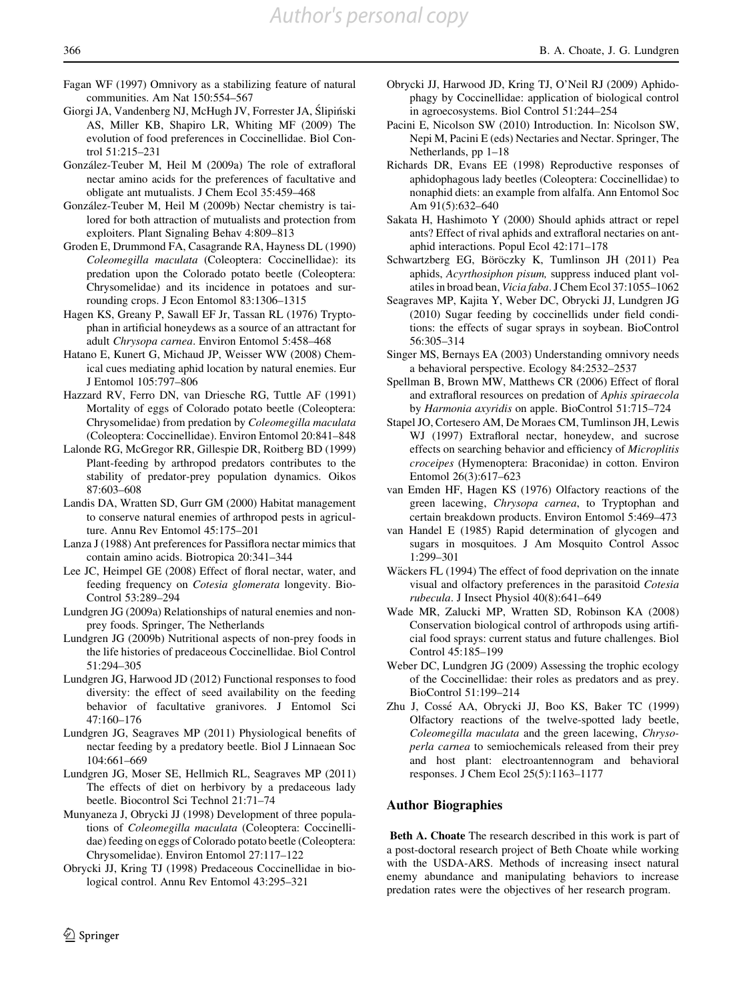- <span id="page-9-0"></span>Fagan WF (1997) Omnivory as a stabilizing feature of natural communities. Am Nat 150:554–567
- Giorgi JA, Vandenberg NJ, McHugh JV, Forrester JA, Ślipiński AS, Miller KB, Shapiro LR, Whiting MF (2009) The evolution of food preferences in Coccinellidae. Biol Control 51:215–231
- González-Teuber M, Heil M (2009a) The role of extrafloral nectar amino acids for the preferences of facultative and obligate ant mutualists. J Chem Ecol 35:459–468
- González-Teuber M, Heil M (2009b) Nectar chemistry is tailored for both attraction of mutualists and protection from exploiters. Plant Signaling Behav 4:809–813
- Groden E, Drummond FA, Casagrande RA, Hayness DL (1990) Coleomegilla maculata (Coleoptera: Coccinellidae): its predation upon the Colorado potato beetle (Coleoptera: Chrysomelidae) and its incidence in potatoes and surrounding crops. J Econ Entomol 83:1306–1315
- Hagen KS, Greany P, Sawall EF Jr, Tassan RL (1976) Tryptophan in artificial honeydews as a source of an attractant for adult Chrysopa carnea. Environ Entomol 5:458–468
- Hatano E, Kunert G, Michaud JP, Weisser WW (2008) Chemical cues mediating aphid location by natural enemies. Eur J Entomol 105:797–806
- Hazzard RV, Ferro DN, van Driesche RG, Tuttle AF (1991) Mortality of eggs of Colorado potato beetle (Coleoptera: Chrysomelidae) from predation by Coleomegilla maculata (Coleoptera: Coccinellidae). Environ Entomol 20:841–848
- Lalonde RG, McGregor RR, Gillespie DR, Roitberg BD (1999) Plant-feeding by arthropod predators contributes to the stability of predator-prey population dynamics. Oikos 87:603–608
- Landis DA, Wratten SD, Gurr GM (2000) Habitat management to conserve natural enemies of arthropod pests in agriculture. Annu Rev Entomol 45:175–201
- Lanza J (1988) Ant preferences for Passiflora nectar mimics that contain amino acids. Biotropica 20:341–344
- Lee JC, Heimpel GE (2008) Effect of floral nectar, water, and feeding frequency on Cotesia glomerata longevity. Bio-Control 53:289–294
- Lundgren JG (2009a) Relationships of natural enemies and nonprey foods. Springer, The Netherlands
- Lundgren JG (2009b) Nutritional aspects of non-prey foods in the life histories of predaceous Coccinellidae. Biol Control 51:294–305
- Lundgren JG, Harwood JD (2012) Functional responses to food diversity: the effect of seed availability on the feeding behavior of facultative granivores. J Entomol Sci 47:160–176
- Lundgren JG, Seagraves MP (2011) Physiological benefits of nectar feeding by a predatory beetle. Biol J Linnaean Soc 104:661–669
- Lundgren JG, Moser SE, Hellmich RL, Seagraves MP (2011) The effects of diet on herbivory by a predaceous lady beetle. Biocontrol Sci Technol 21:71–74
- Munyaneza J, Obrycki JJ (1998) Development of three populations of Coleomegilla maculata (Coleoptera: Coccinellidae) feeding on eggs of Colorado potato beetle (Coleoptera: Chrysomelidae). Environ Entomol 27:117–122
- Obrycki JJ, Kring TJ (1998) Predaceous Coccinellidae in biological control. Annu Rev Entomol 43:295–321
- Obrycki JJ, Harwood JD, Kring TJ, O'Neil RJ (2009) Aphidophagy by Coccinellidae: application of biological control in agroecosystems. Biol Control 51:244–254
- Pacini E, Nicolson SW (2010) Introduction. In: Nicolson SW, Nepi M, Pacini E (eds) Nectaries and Nectar. Springer, The Netherlands, pp 1–18
- Richards DR, Evans EE (1998) Reproductive responses of aphidophagous lady beetles (Coleoptera: Coccinellidae) to nonaphid diets: an example from alfalfa. Ann Entomol Soc Am 91(5):632–640
- Sakata H, Hashimoto Y (2000) Should aphids attract or repel ants? Effect of rival aphids and extrafloral nectaries on antaphid interactions. Popul Ecol 42:171–178
- Schwartzberg EG, Böröczky K, Tumlinson JH (2011) Pea aphids, Acyrthosiphon pisum, suppress induced plant volatiles in broad bean, Vicia faba. J Chem Ecol 37:1055–1062
- Seagraves MP, Kajita Y, Weber DC, Obrycki JJ, Lundgren JG (2010) Sugar feeding by coccinellids under field conditions: the effects of sugar sprays in soybean. BioControl 56:305–314
- Singer MS, Bernays EA (2003) Understanding omnivory needs a behavioral perspective. Ecology 84:2532–2537
- Spellman B, Brown MW, Matthews CR (2006) Effect of floral and extrafloral resources on predation of Aphis spiraecola by Harmonia axyridis on apple. BioControl 51:715–724
- Stapel JO, Cortesero AM, De Moraes CM, Tumlinson JH, Lewis WJ (1997) Extrafloral nectar, honeydew, and sucrose effects on searching behavior and efficiency of Microplitis croceipes (Hymenoptera: Braconidae) in cotton. Environ Entomol 26(3):617–623
- van Emden HF, Hagen KS (1976) Olfactory reactions of the green lacewing, Chrysopa carnea, to Tryptophan and certain breakdown products. Environ Entomol 5:469–473
- van Handel E (1985) Rapid determination of glycogen and sugars in mosquitoes. J Am Mosquito Control Assoc 1:299–301
- Wäckers FL (1994) The effect of food deprivation on the innate visual and olfactory preferences in the parasitoid Cotesia rubecula. J Insect Physiol 40(8):641–649
- Wade MR, Zalucki MP, Wratten SD, Robinson KA (2008) Conservation biological control of arthropods using artificial food sprays: current status and future challenges. Biol Control 45:185–199
- Weber DC, Lundgren JG (2009) Assessing the trophic ecology of the Coccinellidae: their roles as predators and as prey. BioControl 51:199–214
- Zhu J, Cosse´ AA, Obrycki JJ, Boo KS, Baker TC (1999) Olfactory reactions of the twelve-spotted lady beetle, Coleomegilla maculata and the green lacewing, Chrysoperla carnea to semiochemicals released from their prey and host plant: electroantennogram and behavioral responses. J Chem Ecol 25(5):1163–1177

# Author Biographies

Beth A. Choate The research described in this work is part of a post-doctoral research project of Beth Choate while working with the USDA-ARS. Methods of increasing insect natural enemy abundance and manipulating behaviors to increase predation rates were the objectives of her research program.